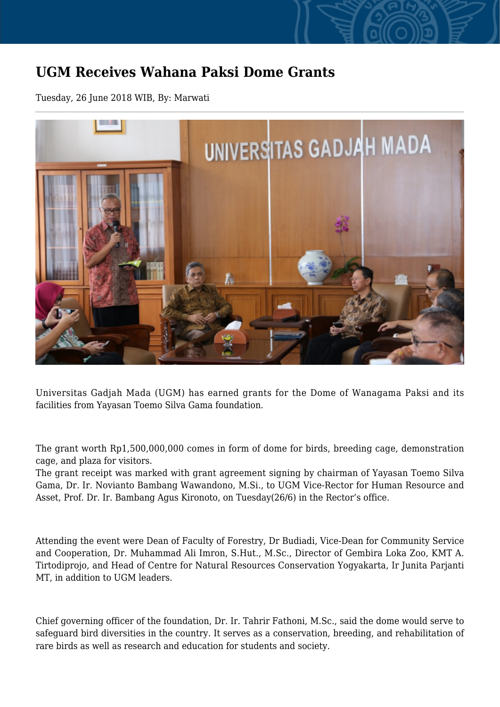## **UGM Receives Wahana Paksi Dome Grants**

Tuesday, 26 June 2018 WIB, By: Marwati



Universitas Gadjah Mada (UGM) has earned grants for the Dome of Wanagama Paksi and its facilities from Yayasan Toemo Silva Gama foundation.

The grant worth Rp1,500,000,000 comes in form of dome for birds, breeding cage, demonstration cage, and plaza for visitors.

The grant receipt was marked with grant agreement signing by chairman of Yayasan Toemo Silva Gama, Dr. Ir. Novianto Bambang Wawandono, M.Si., to UGM Vice-Rector for Human Resource and Asset, Prof. Dr. Ir. Bambang Agus Kironoto, on Tuesday(26/6) in the Rector's office.

Attending the event were Dean of Faculty of Forestry, Dr Budiadi, Vice-Dean for Community Service and Cooperation, Dr. Muhammad Ali Imron, S.Hut., M.Sc., Director of Gembira Loka Zoo, KMT A. Tirtodiprojo, and Head of Centre for Natural Resources Conservation Yogyakarta, Ir Junita Parjanti MT, in addition to UGM leaders.

Chief governing officer of the foundation, Dr. Ir. Tahrir Fathoni, M.Sc., said the dome would serve to safeguard bird diversities in the country. It serves as a conservation, breeding, and rehabilitation of rare birds as well as research and education for students and society.